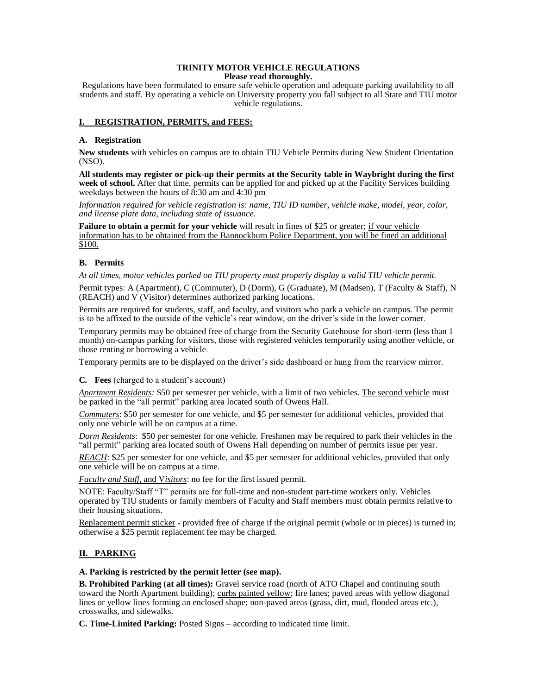#### **TRINITY MOTOR VEHICLE REGULATIONS Please read thoroughly.**

Regulations have been formulated to ensure safe vehicle operation and adequate parking availability to all students and staff. By operating a vehicle on University property you fall subject to all State and TIU motor vehicle regulations.

### **I. REGISTRATION, PERMITS, and FEES:**

### **A. Registration**

**New students** with vehicles on campus are to obtain TIU Vehicle Permits during New Student Orientation (NSO).

**All students may register or pick-up their permits at the Security table in Waybright during the first week of school.** After that time, permits can be applied for and picked up at the Facility Services building weekdays between the hours of 8:30 am and 4:30 pm

*Information required for vehicle registration is: name, TIU ID number, vehicle make, model, year, color, and license plate data, including state of issuance.* 

**Failure to obtain a permit for your vehicle** will result in fines of \$25 or greater; if your vehicle information has to be obtained from the Bannockburn Police Department, you will be fined an additional \$100.

# **B. Permits**

*At all times, motor vehicles parked on TIU property must properly display a valid TIU vehicle permit.* 

Permit types: A (Apartment), C (Commuter), D (Dorm), G (Graduate), M (Madsen), T (Faculty & Staff), N (REACH) and V (Visitor) determines authorized parking locations.

Permits are required for students, staff, and faculty, and visitors who park a vehicle on campus. The permit is to be affixed to the outside of the vehicle's rear window, on the driver's side in the lower corner.

Temporary permits may be obtained free of charge from the Security Gatehouse for short-term (less than 1 month) on-campus parking for visitors, those with registered vehicles temporarily using another vehicle, or those renting or borrowing a vehicle.

Temporary permits are to be displayed on the driver's side dashboard or hung from the rearview mirror.

### **C***.* **Fees** (charged to a student's account)

*Apartment Residents:* \$50 per semester per vehicle, with a limit of two vehicles. The second vehicle must be parked in the "all permit" parking area located south of Owens Hall.

*Commuters*: \$50 per semester for one vehicle, and \$5 per semester for additional vehicles, provided that only one vehicle will be on campus at a time.

*Dorm Residents*: \$50 per semester for one vehicle. Freshmen may be required to park their vehicles in the "all permit" parking area located south of Owens Hall depending on number of permits issue per year.

*REACH*: \$25 per semester for one vehicle, and \$5 per semester for additional vehicles, provided that only one vehicle will be on campus at a time.

*Faculty and Staff*, and V*isitors*: no fee for the first issued permit.

NOTE: Faculty/Staff "T" permits are for full-time and non-student part-time workers only. Vehicles operated by TIU students or family members of Faculty and Staff members must obtain permits relative to their housing situations.

Replacement permit sticker - provided free of charge if the original permit (whole or in pieces) is turned in; otherwise a \$25 permit replacement fee may be charged.

# **II. PARKING**

### **A. Parking is restricted by the permit letter (see map).**

**B. Prohibited Parking** (**at all times):** Gravel service road (north of ATO Chapel and continuing south toward the North Apartment building); curbs painted yellow; fire lanes; paved areas with yellow diagonal lines or yellow lines forming an enclosed shape; non-paved areas (grass, dirt, mud, flooded areas etc.), crosswalks, and sidewalks.

**C. Time-Limited Parking:** Posted Signs – according to indicated time limit.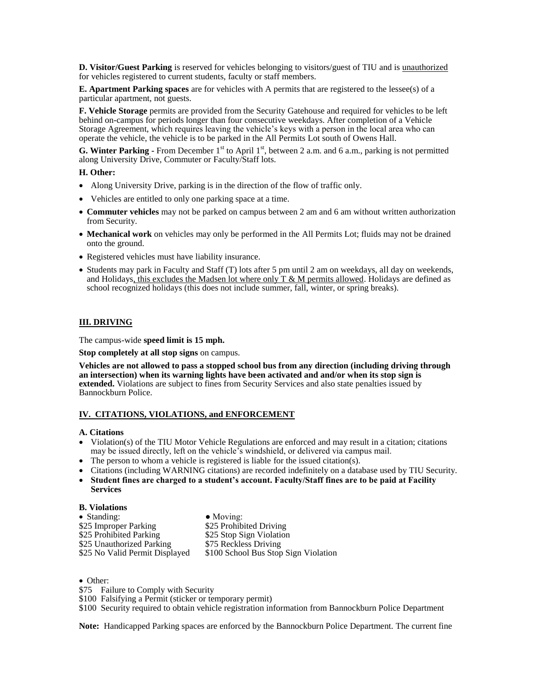**D. Visitor/Guest Parking** is reserved for vehicles belonging to visitors/guest of TIU and is unauthorized for vehicles registered to current students, faculty or staff members.

**E. Apartment Parking spaces** are for vehicles with A permits that are registered to the lessee(s) of a particular apartment, not guests.

**F. Vehicle Storage** permits are provided from the Security Gatehouse and required for vehicles to be left behind on-campus for periods longer than four consecutive weekdays. After completion of a Vehicle Storage Agreement, which requires leaving the vehicle's keys with a person in the local area who can operate the vehicle, the vehicle is to be parked in the All Permits Lot south of Owens Hall.

**G. Winter Parking -** From December  $1<sup>st</sup>$  to April  $1<sup>st</sup>$ , between 2 a.m. and 6 a.m., parking is not permitted along University Drive, Commuter or Faculty/Staff lots.

### **H. Other:**

- Along University Drive, parking is in the direction of the flow of traffic only.
- Vehicles are entitled to only one parking space at a time.
- **Commuter vehicles** may not be parked on campus between 2 am and 6 am without written authorization from Security.
- **Mechanical work** on vehicles may only be performed in the All Permits Lot; fluids may not be drained onto the ground.
- Registered vehicles must have liability insurance.
- Students may park in Faculty and Staff (T) lots after 5 pm until 2 am on weekdays, all day on weekends, and Holidays, this excludes the Madsen lot where only  $T \& M$  permits allowed. Holidays are defined as school recognized holidays (this does not include summer, fall, winter, or spring breaks).

### **III. DRIVING**

The campus-wide **speed limit is 15 mph.** 

**Stop completely at all stop signs** on campus.

**Vehicles are not allowed to pass a stopped school bus from any direction (including driving through an intersection) when its warning lights have been activated and and/or when its stop sign is extended.** Violations are subject to fines from Security Services and also state penalties issued by Bannockburn Police.

### **IV. CITATIONS, VIOLATIONS, and ENFORCEMENT**

#### **A. Citations**

- $\bullet$  Violation(s) of the TIU Motor Vehicle Regulations are enforced and may result in a citation; citations may be issued directly, left on the vehicle's windshield, or delivered via campus mail.
- The person to whom a vehicle is registered is liable for the issued citation(s).
- Citations (including WARNING citations) are recorded indefinitely on a database used by TIU Security.
- **Student fines are charged to a student's account. Faculty/Staff fines are to be paid at Facility Services**

#### **B. Violations**

| $\bullet$ Standing:            | $\bullet$ Moving:                    |
|--------------------------------|--------------------------------------|
| \$25 Improper Parking          | \$25 Prohibited Driving              |
| \$25 Prohibited Parking        | \$25 Stop Sign Violation             |
| \$25 Unauthorized Parking      | \$75 Reckless Driving                |
| \$25 No Valid Permit Displayed | \$100 School Bus Stop Sign Violation |

# • Other:

\$75 Failure to Comply with Security

\$100 Falsifying a Permit (sticker or temporary permit)

\$100 Security required to obtain vehicle registration information from Bannockburn Police Department

**Note:** Handicapped Parking spaces are enforced by the Bannockburn Police Department. The current fine